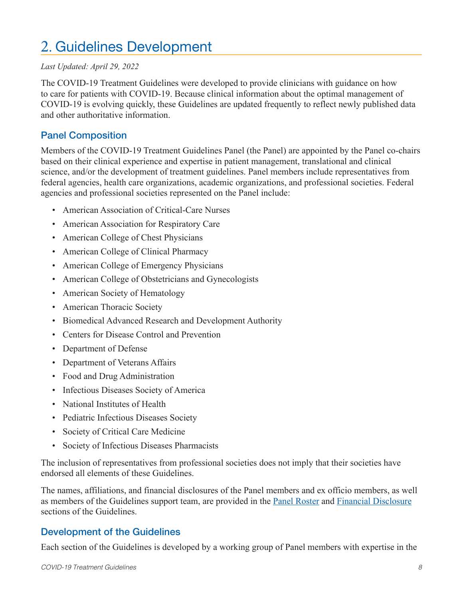# 2. Guidelines Development

#### *Last Updated: April 29, 2022*

The COVID-19 Treatment Guidelines were developed to provide clinicians with guidance on how to care for patients with COVID-19. Because clinical information about the optimal management of COVID-19 is evolving quickly, these Guidelines are updated frequently to reflect newly published data and other authoritative information.

#### Panel Composition

Members of the COVID-19 Treatment Guidelines Panel (the Panel) are appointed by the Panel co-chairs based on their clinical experience and expertise in patient management, translational and clinical science, and/or the development of treatment guidelines. Panel members include representatives from federal agencies, health care organizations, academic organizations, and professional societies. Federal agencies and professional societies represented on the Panel include:

- American Association of Critical-Care Nurses
- American Association for Respiratory Care
- American College of Chest Physicians
- American College of Clinical Pharmacy
- American College of Emergency Physicians
- American College of Obstetricians and Gynecologists
- American Society of Hematology
- American Thoracic Society
- Biomedical Advanced Research and Development Authority
- Centers for Disease Control and Prevention
- Department of Defense
- Department of Veterans Affairs
- Food and Drug Administration
- Infectious Diseases Society of America
- National Institutes of Health
- Pediatric Infectious Diseases Society
- Society of Critical Care Medicine
- Society of Infectious Diseases Pharmacists

The inclusion of representatives from professional societies does not imply that their societies have endorsed all elements of these Guidelines.

The names, affiliations, and financial disclosures of the Panel members and ex officio members, as well as members of the Guidelines support team, are provided in the Panel Roster and Financial Disclosure sections of the Guidelines.

## Development of the Guidelines

Each section of the Guidelines is developed by a working group of Panel members with expertise in the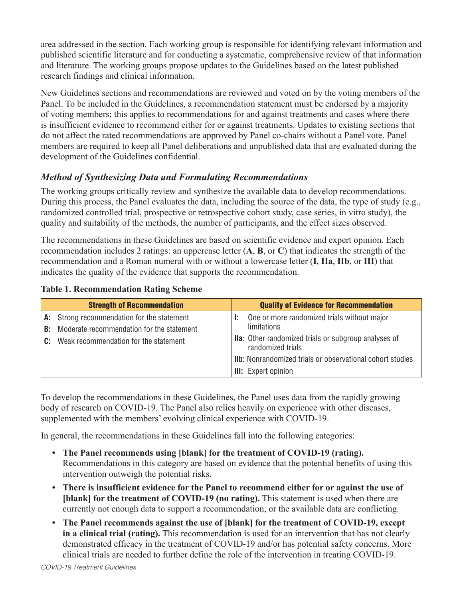area addressed in the section. Each working group is responsible for identifying relevant information and published scientific literature and for conducting a systematic, comprehensive review of that information and literature. The working groups propose updates to the Guidelines based on the latest published research findings and clinical information.

New Guidelines sections and recommendations are reviewed and voted on by the voting members of the Panel. To be included in the Guidelines, a recommendation statement must be endorsed by a majority of voting members; this applies to recommendations for and against treatments and cases where there is insufficient evidence to recommend either for or against treatments. Updates to existing sections that do not affect the rated recommendations are approved by Panel co-chairs without a Panel vote. Panel members are required to keep all Panel deliberations and unpublished data that are evaluated during the development of the Guidelines confidential.

## *Method of Synthesizing Data and Formulating Recommendations*

The working groups critically review and synthesize the available data to develop recommendations. During this process, the Panel evaluates the data, including the source of the data, the type of study (e.g., randomized controlled trial, prospective or retrospective cohort study, case series, in vitro study), the quality and suitability of the methods, the number of participants, and the effect sizes observed.

The recommendations in these Guidelines are based on scientific evidence and expert opinion. Each recommendation includes 2 ratings: an uppercase letter (**A**, **B**, or **C**) that indicates the strength of the recommendation and a Roman numeral with or without a lowercase letter (**I**, **IIa**, **IIb**, or **III**) that indicates the quality of the evidence that supports the recommendation.

|    | <b>Strength of Recommendation</b>                                                                                                   | <b>Quality of Evidence for Recommendation</b>                                    |
|----|-------------------------------------------------------------------------------------------------------------------------------------|----------------------------------------------------------------------------------|
| B: | A: Strong recommendation for the statement<br>Moderate recommendation for the statement<br>C: Weak recommendation for the statement | One or more randomized trials without major<br><b>limitations</b>                |
|    |                                                                                                                                     | <b>Ila:</b> Other randomized trials or subgroup analyses of<br>randomized trials |
|    |                                                                                                                                     | <b>IIb:</b> Nonrandomized trials or observational cohort studies                 |
|    |                                                                                                                                     | <b>III:</b> Expert opinion                                                       |

#### **Table 1. Recommendation Rating Scheme**

To develop the recommendations in these Guidelines, the Panel uses data from the rapidly growing body of research on COVID-19. The Panel also relies heavily on experience with other diseases, supplemented with the members' evolving clinical experience with COVID-19.

In general, the recommendations in these Guidelines fall into the following categories:

- **• The Panel recommends using [blank] for the treatment of COVID-19 (rating).** Recommendations in this category are based on evidence that the potential benefits of using this intervention outweigh the potential risks.
- **• There is insufficient evidence for the Panel to recommend either for or against the use of [blank] for the treatment of COVID-19 (no rating).** This statement is used when there are currently not enough data to support a recommendation, or the available data are conflicting.
- **• The Panel recommends against the use of [blank] for the treatment of COVID-19, except in a clinical trial (rating).** This recommendation is used for an intervention that has not clearly demonstrated efficacy in the treatment of COVID-19 and/or has potential safety concerns. More clinical trials are needed to further define the role of the intervention in treating COVID-19.